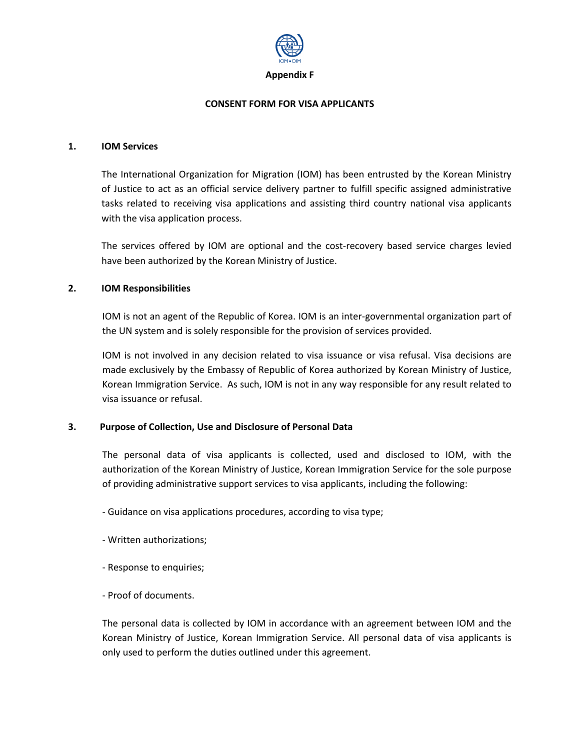

### **CONSENT FORM FOR VISA APPLICANTS**

#### **1. IOM Services**

The International Organization for Migration (IOM) has been entrusted by the Korean Ministry of Justice to act as an official service delivery partner to fulfill specific assigned administrative tasks related to receiving visa applications and assisting third country national visa applicants with the visa application process.

The services offered by IOM are optional and the cost-recovery based service charges levied have been authorized by the Korean Ministry of Justice.

# **2. IOM Responsibilities**

IOM is not an agent of the Republic of Korea. IOM is an inter-governmental organization part of the UN system and is solely responsible for the provision of services provided.

IOM is not involved in any decision related to visa issuance or visa refusal. Visa decisions are made exclusively by the Embassy of Republic of Korea authorized by Korean Ministry of Justice, Korean Immigration Service. As such, IOM is not in any way responsible for any result related to visa issuance or refusal.

# **3. Purpose of Collection, Use and Disclosure of Personal Data**

The personal data of visa applicants is collected, used and disclosed to IOM, with the authorization of the Korean Ministry of Justice, Korean Immigration Service for the sole purpose of providing administrative support services to visa applicants, including the following:

- Guidance on visa applications procedures, according to visa type;

- Written authorizations;
- Response to enquiries;
- Proof of documents.

The personal data is collected by IOM in accordance with an agreement between IOM and the Korean Ministry of Justice, Korean Immigration Service. All personal data of visa applicants is only used to perform the duties outlined under this agreement.